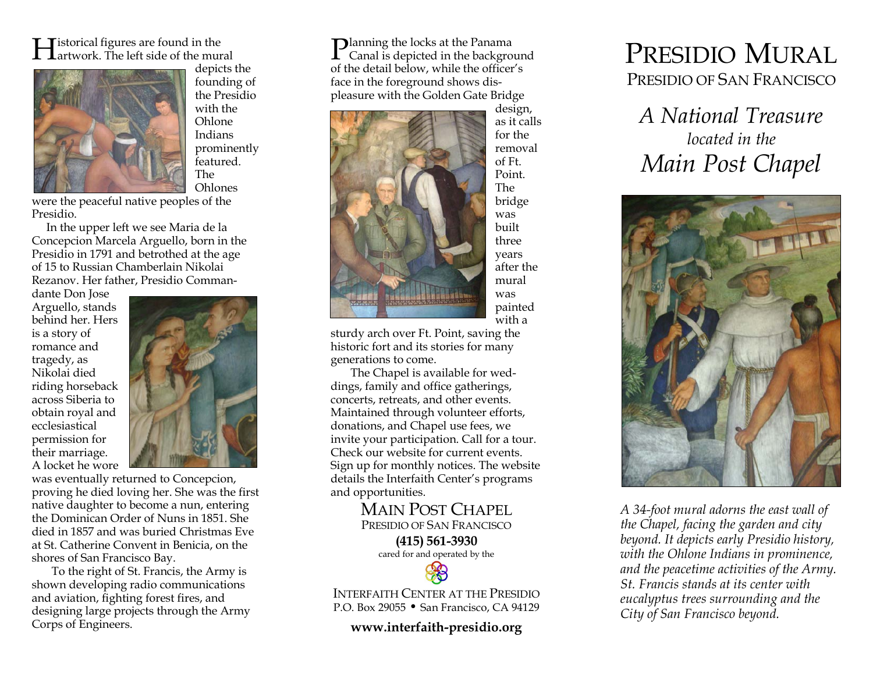istorical figures are found in the  $\prod$ istorical figures are found in the<br>Lartwork. The left side of the mural



 depicts the founding of the Presidio with the Ohlone Indians prominently featured. The Ohlones

were the peaceful native peoples of the Presidio.

 In the upper left we see Maria de la Concepcion Marcela Arguello, born in the Presidio in 1791 and betrothed at the age of 15 to Russian Chamberlain Nikolai Rezanov. Her father, Presidio Comman-

dante Don Jose Arguello, stands behind her. Hers is a story of romance and tragedy, as Nikolai died riding horseback across Siberia to obtain royal and ecclesiastical permission for their marriage. A locket he wore



 was eventually returned to Concepcion, proving he died loving her. She was the first native daughter to become a nun, entering the Dominican Order of Nuns in 1851. She died in 1857 and was buried Christmas Eve at St. Catherine Convent in Benicia, on the shores of San Francisco Bay.

To the right of St. Francis, the Army is shown developing radio communications and aviation, fighting forest fires, and designing large projects through the Army Corps of Engineers.

**D**lanning the locks at the Panama  $\rm{\bf P}$ lanning the locks at the Panama<br>Canal is depicted in the background of the detail below, while the officer's face in the foreground shows displeasure with the Golden Gate Bridge



design, as it calls for the removal of Ft. Point. The bridge was built three years after the mural was painted with a

sturdy arch over Ft. Point, saving the historic fort and its stories for many generations to come.

The Chapel is available for weddings, family and office gatherings, concerts, retreats, and other events. Maintained through volunteer efforts, donations, and Chapel use fees, we invite your participation. Call for a tour. Check our website for current events. Sign up for monthly notices. The website details the Interfaith Center's programs and opportunities.

> MAIN POST CHAPEL PRESIDIO OF SAN FRANCISCO(415) 561-3930 cared for and operated by the

INTERFAITH CENTER AT THE PRESIDIOP.O. Box 29055 • San Francisco, CA 94129

www.interfaith-presidio.org

## PRESIDIO MURAL PRESIDIO OF SAN FRANCISCO

A National Treasure located in the Main Post Chapel



 A 34-foot mural adorns the east wall of the Chapel, facing the garden and city beyond. It depicts early Presidio history, with the Ohlone Indians in prominence, and the peacetime activities of the Army. St. Francis stands at its center with eucalyptus trees surrounding and the City of San Francisco beyond.